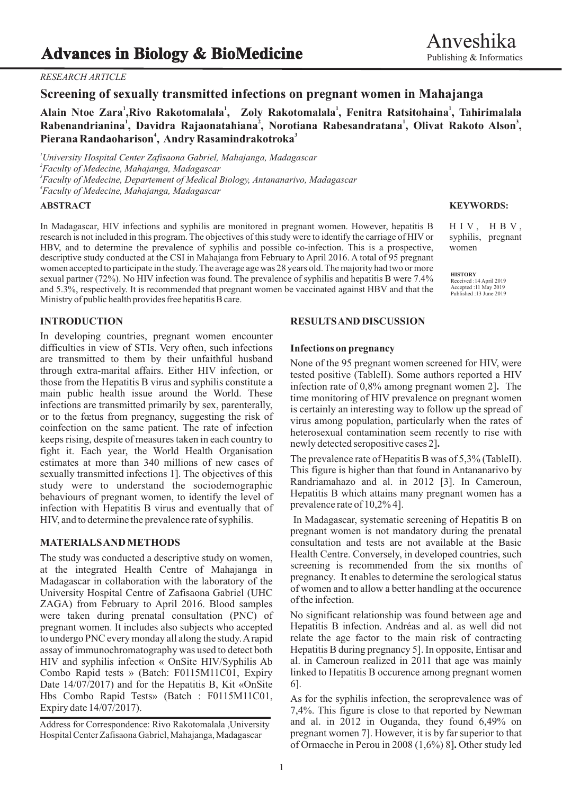## *RESEARCH ARTICLE*

**<sup>1</sup> Alain Ntoe Zara , <sup>1</sup> <sup>1</sup> <sup>1</sup> Rivo Rakotomalala , Zoly Rakotomalala , Fenitra Ratsitohaina , Tahirimalala <sup>1</sup> <sup>2</sup> <sup>1</sup> <sup>3</sup> Rabenandrianina , Davidra Rajaonatahiana , Norotiana Rabesandratana , Olivat Rakoto Alson , 4 3 Pierana Randaoharison , Andry Rasamindrakotroka**

*University Hospital Center Zafisaona Gabriel, Mahajanga, Madagascar Faculty of Medecine, Mahajanga, Madagascar Faculty of Medecine, Departement of Medical Biology, Antananarivo, Madagascar Faculty of Medecine, Mahajanga, Madagascar*

## **ABSTRACT**

In Madagascar, HIV infections and syphilis are monitored in pregnant women. However, hepatitis B research is not included in this program. The objectives of this study were to identify the carriage of HIV or HBV, and to determine the prevalence of syphilis and possible co-infection. This is a prospective, descriptive study conducted at the CSI in Mahajanga from February to April 2016. A total of 95 pregnant women accepted to participate in the study. The average age was 28 years old. The majority had two or more sexual partner (72%). No HIV infection was found. The prevalence of syphilis and hepatitis B were 7.4% and 5.3%, respectively. It is recommended that pregnant women be vaccinated against HBV and that the Ministry of public health provides free hepatitis B care.

In developing countries, pregnant women encounter difficulties in view of STIs. Very often, such infections **Infections on pregnancy**<br>are transmitted to them by their unfaithful husband are transmitted to them by their unfaithful husband<br>through extra-marital affairs. Either HIV infection, or<br>those from the Hepatitis B virus and syphilis constitute a<br>main public health issue around the World. These<br>infect or to the foctus from pregnancy, suggesting the risk of<br>oinfection on the same patient. The rate of infection<br>keeps rising, despite of measures taken in each country to<br>herosexual contamination seem recently to rise with<br>h fight it. Each year, the World Health Organisation estimates at more than 340 millions of new cases of The prevalence rate of Hepatitis B was of 5,3% (TableII).<br>
This figure is higher than that found in Antananarivo by sexually transmitted infections 1]. The objectives of this sexually transmitted infections 1]. The objectives of this sexually study were to understand the sociodemographic Randriamahazo and al. in 2012 [3]. In Cameroun, study were to understand the sociodemographic<br>helpatitis B which attains many pregnant women has a<br>helpatitis B which attains many pregnant women has a behaviours of pregnant women, to identify the level of **Hepatitis B** which attains n<br>infection with Hepatitis B virus and avantually that of prevalence rate of 10,2%4]. infection with Hepatitis B virus and eventually that of HIV, and to determine the prevalence rate of syphilis. In Madagascar, systematic screening of Hepatitis B on

at the integrated Health Centre of Mahajanga in Madagascar in collaboration with the laboratory of the pregnancy. It enables to determine the serological status Iniversity Hernite Control Control of Zefiseone Gebriel (UHC) of women and to allow a better handling at the University Hospital Centre of Zafisaona Gabriel (UHC  $\sigma$  I women and  $\sigma$   $ZACA$ ) from Eshmony to Aquil 2016. Planel seguritor of the infection. ZAGA) from February to April 2016. Blood samples were taken during prenatal consultation (PNC) of No significant relationship was found between age and pregnant women. It includes also subjects who accepted Hepatitis B infection. Andréas and al. as well did not to undergo PNC every monday all along the study. Arapid relate the age factor to the main risk of contracting to undergo PNC every monday all along the study. A rapid relate the age factor to the main risk of contracting<br>assay of immunochromatography was used to detect both Hepatitis B during pregnancy 5]. In opposite, Entisar and assay of immunochromatography was used to detect both HIV and syphilis infection « OnSite HIV/Syphilis Ab al. in Cameroun realized in 2011 that age was mainly Combo Rapid tests » (Batch: F0115M11C01, Expiry linked to Hepatitis B occurence among pregnant women Combo Rapid tests » (Batch: F0115M11C01, Expiry Date 14/07/2017) and for the Hepatitis B, Kit «OnSite 6]. Hbs Combo Rapid Tests» (Batch : F0115M11C01, As for the syphilis infection, the seroprevalence was of Expiry date  $14/07/2017$ ).

### **INTRODUCTION RESULTS AND DISCUSSION**

pregnant women is not mandatory during the prenatal **MATERIALS AND METHODS** consultation and tests are not available at the Basic The study was conducted a descriptive study on women,<br>
the study of Meheinen in the study is recommended from the six months of

7,4%. This figure is close to that reported by Newman and al. in 2012 in Ouganda, they found 6,49% on pregnant women 7]. However, it is by far superior to that of Ormaeche in Perou in 2008 (1,6%) 8]**.** Other study led

### **KEYWORDS:**

 $H IV, H BV,$ syphilis, pregnant women

**HISTORY** Received :14 April 2019 Accepted :11 May 2019 Published :13 June 2019

Address for Correspondence: Rivo Rakotomalala ,University Hospital Center Zafisaona Gabriel, Mahajanga, Madagascar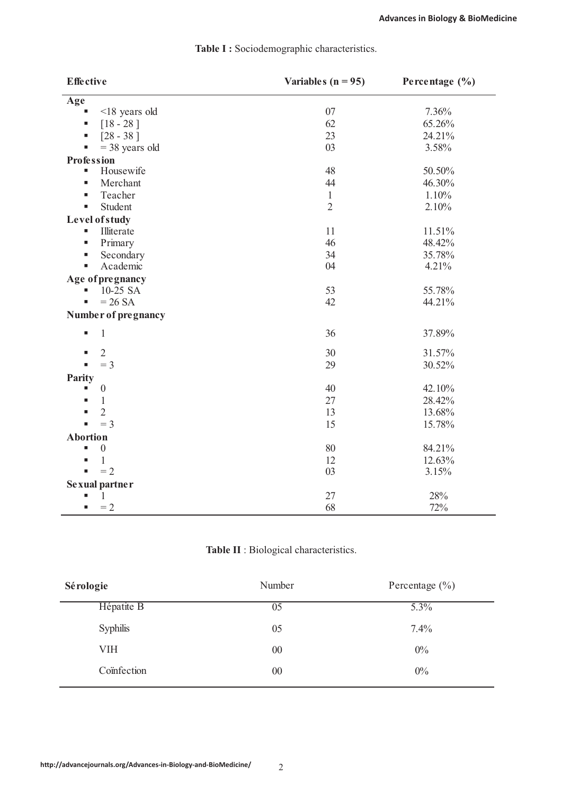| <b>Effective</b>            | Variables ( $n = 95$ ) | Percentage $(\% )$ |
|-----------------------------|------------------------|--------------------|
| Age                         |                        |                    |
| $<$ 18 years old            | 07                     | 7.36%              |
| $[18 - 28]$<br>٠            | 62                     | 65.26%             |
| $[28 - 38]$<br>٠            | 23                     | 24.21%             |
| $=$ 38 years old<br>D,      | 03                     | 3.58%              |
| <b>Profession</b>           |                        |                    |
| Housewife<br>$\blacksquare$ | 48                     | 50.50%             |
| Merchant<br>п               | 44                     | 46.30%             |
| Teacher<br>п                | $\mathbf{1}$           | 1.10%              |
| Student<br>$\blacksquare$   | $\overline{2}$         | 2.10%              |
| Level of study              |                        |                    |
| Illiterate<br>g,            | 11                     | 11.51%             |
| Primary<br>п                | 46                     | 48.42%             |
| Secondary<br>ш              | 34                     | 35.78%             |
| Academic<br>٠               | 04                     | 4.21%              |
| Age of pregnancy            |                        |                    |
| 10-25 SA                    | 53                     | 55.78%             |
| $= 26$ SA                   | 42                     | 44.21%             |
| Number of pregnancy         |                        |                    |
| $\mathbf{1}$<br>٠           | 36                     | 37.89%             |
| $\overline{2}$              | 30                     | 31.57%             |
| $=$ 3                       | 29                     | 30.52%             |
| Parity                      |                        |                    |
| $\boldsymbol{0}$            | 40                     | 42.10%             |
| $\mathbf{1}$                | 27                     | 28.42%             |
| $\overline{2}$              | 13                     | 13.68%             |
| $=$ 3                       | 15                     | 15.78%             |
| <b>Abortion</b>             |                        |                    |
| $\boldsymbol{0}$            | 80                     | 84.21%             |
| 1                           | 12                     | 12.63%             |
| $=2$                        | 03                     | 3.15%              |
| Sexual partner              |                        |                    |
| 1                           | 27                     | 28%                |
| $=2$<br>ш                   | 68                     | 72%                |

# **Table I :** Sociodemographic characteristics.

# **Table II** : Biological characteristics.

| Sérologie       | Number | Percentage $(\% )$ |
|-----------------|--------|--------------------|
| Hépatite B      | 05     | 5.3%               |
| <b>Syphilis</b> | 05     | 7.4%               |
| VIH             | $00\,$ | $0\%$              |
| Coïnfection     | $00\,$ | $0\%$              |